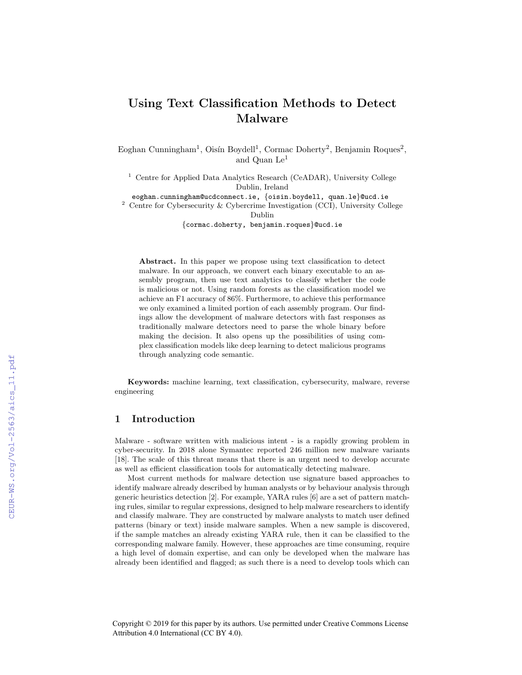# Using Text Classification Methods to Detect Malware

Eoghan Cunningham<sup>1</sup>, Oisín Boydell<sup>1</sup>, Cormac Doherty<sup>2</sup>, Benjamin Roques<sup>2</sup>, and Quan Le<sup>1</sup>

<sup>1</sup> Centre for Applied Data Analytics Research (CeADAR), University College Dublin, Ireland

eoghan.cunningham@ucdconnect.ie, {oisin.boydell, quan.le}@ucd.ie

<sup>2</sup> Centre for Cybersecurity & Cybercrime Investigation (CCI), University College Dublin

{cormac.doherty, benjamin.roques}@ucd.ie

Abstract. In this paper we propose using text classification to detect malware. In our approach, we convert each binary executable to an assembly program, then use text analytics to classify whether the code is malicious or not. Using random forests as the classification model we achieve an F1 accuracy of 86%. Furthermore, to achieve this performance we only examined a limited portion of each assembly program. Our findings allow the development of malware detectors with fast responses as traditionally malware detectors need to parse the whole binary before making the decision. It also opens up the possibilities of using complex classification models like deep learning to detect malicious programs through analyzing code semantic.

Keywords: machine learning, text classification, cybersecurity, malware, reverse engineering

# 1 Introduction

Malware - software written with malicious intent - is a rapidly growing problem in cyber-security. In 2018 alone Symantec reported 246 million new malware variants [18]. The scale of this threat means that there is an urgent need to develop accurate as well as efficient classification tools for automatically detecting malware.

Most current methods for malware detection use signature based approaches to identify malware already described by human analysts or by behaviour analysis through generic heuristics detection [2]. For example, YARA rules [6] are a set of pattern matching rules, similar to regular expressions, designed to help malware researchers to identify and classify malware. They are constructed by malware analysts to match user defined patterns (binary or text) inside malware samples. When a new sample is discovered, if the sample matches an already existing YARA rule, then it can be classified to the corresponding malware family. However, these approaches are time consuming, require a high level of domain expertise, and can only be developed when the malware has already been identified and flagged; as such there is a need to develop tools which can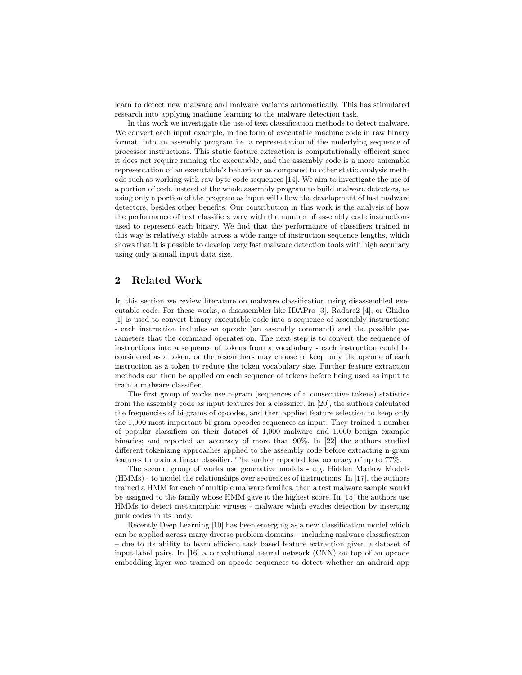learn to detect new malware and malware variants automatically. This has stimulated research into applying machine learning to the malware detection task.

In this work we investigate the use of text classification methods to detect malware. We convert each input example, in the form of executable machine code in raw binary format, into an assembly program i.e. a representation of the underlying sequence of processor instructions. This static feature extraction is computationally efficient since it does not require running the executable, and the assembly code is a more amenable representation of an executable's behaviour as compared to other static analysis methods such as working with raw byte code sequences [14]. We aim to investigate the use of a portion of code instead of the whole assembly program to build malware detectors, as using only a portion of the program as input will allow the development of fast malware detectors, besides other benefits. Our contribution in this work is the analysis of how the performance of text classifiers vary with the number of assembly code instructions used to represent each binary. We find that the performance of classifiers trained in this way is relatively stable across a wide range of instruction sequence lengths, which shows that it is possible to develop very fast malware detection tools with high accuracy using only a small input data size.

# 2 Related Work

In this section we review literature on malware classification using disassembled executable code. For these works, a disassembler like IDAPro [3], Radare2 [4], or Ghidra [1] is used to convert binary executable code into a sequence of assembly instructions - each instruction includes an opcode (an assembly command) and the possible parameters that the command operates on. The next step is to convert the sequence of instructions into a sequence of tokens from a vocabulary - each instruction could be considered as a token, or the researchers may choose to keep only the opcode of each instruction as a token to reduce the token vocabulary size. Further feature extraction methods can then be applied on each sequence of tokens before being used as input to train a malware classifier.

The first group of works use n-gram (sequences of n consecutive tokens) statistics from the assembly code as input features for a classifier. In [20], the authors calculated the frequencies of bi-grams of opcodes, and then applied feature selection to keep only the 1,000 most important bi-gram opcodes sequences as input. They trained a number of popular classifiers on their dataset of 1,000 malware and 1,000 benign example binaries; and reported an accuracy of more than 90%. In [22] the authors studied different tokenizing approaches applied to the assembly code before extracting n-gram features to train a linear classifier. The author reported low accuracy of up to 77%.

The second group of works use generative models - e.g. Hidden Markov Models (HMMs) - to model the relationships over sequences of instructions. In [17], the authors trained a HMM for each of multiple malware families, then a test malware sample would be assigned to the family whose HMM gave it the highest score. In [15] the authors use HMMs to detect metamorphic viruses - malware which evades detection by inserting junk codes in its body.

Recently Deep Learning [10] has been emerging as a new classification model which can be applied across many diverse problem domains – including malware classification – due to its ability to learn efficient task based feature extraction given a dataset of input-label pairs. In [16] a convolutional neural network (CNN) on top of an opcode embedding layer was trained on opcode sequences to detect whether an android app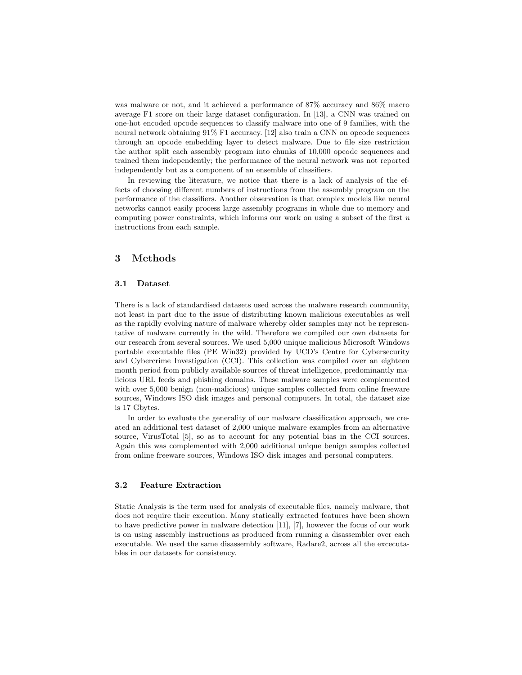was malware or not, and it achieved a performance of 87% accuracy and 86% macro average F1 score on their large dataset configuration. In [13], a CNN was trained on one-hot encoded opcode sequences to classify malware into one of 9 families, with the neural network obtaining 91% F1 accuracy. [12] also train a CNN on opcode sequences through an opcode embedding layer to detect malware. Due to file size restriction the author split each assembly program into chunks of 10,000 opcode sequences and trained them independently; the performance of the neural network was not reported independently but as a component of an ensemble of classifiers.

In reviewing the literature, we notice that there is a lack of analysis of the effects of choosing different numbers of instructions from the assembly program on the performance of the classifiers. Another observation is that complex models like neural networks cannot easily process large assembly programs in whole due to memory and computing power constraints, which informs our work on using a subset of the first  $n$ instructions from each sample.

## 3 Methods

#### 3.1 Dataset

There is a lack of standardised datasets used across the malware research community, not least in part due to the issue of distributing known malicious executables as well as the rapidly evolving nature of malware whereby older samples may not be representative of malware currently in the wild. Therefore we compiled our own datasets for our research from several sources. We used 5,000 unique malicious Microsoft Windows portable executable files (PE Win32) provided by UCD's Centre for Cybersecurity and Cybercrime Investigation (CCI). This collection was compiled over an eighteen month period from publicly available sources of threat intelligence, predominantly malicious URL feeds and phishing domains. These malware samples were complemented with over 5,000 benign (non-malicious) unique samples collected from online freeware sources, Windows ISO disk images and personal computers. In total, the dataset size is 17 Gbytes.

In order to evaluate the generality of our malware classification approach, we created an additional test dataset of 2,000 unique malware examples from an alternative source, VirusTotal [5], so as to account for any potential bias in the CCI sources. Again this was complemented with 2,000 additional unique benign samples collected from online freeware sources, Windows ISO disk images and personal computers.

#### 3.2 Feature Extraction

Static Analysis is the term used for analysis of executable files, namely malware, that does not require their execution. Many statically extracted features have been shown to have predictive power in malware detection [11], [7], however the focus of our work is on using assembly instructions as produced from running a disassembler over each executable. We used the same disassembly software, Radare2, across all the excecutables in our datasets for consistency.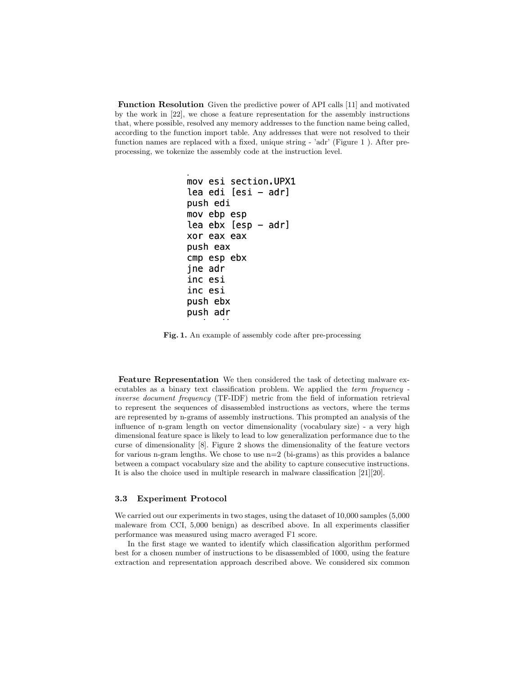Function Resolution Given the predictive power of API calls [11] and motivated by the work in [22], we chose a feature representation for the assembly instructions that, where possible, resolved any memory addresses to the function name being called, according to the function import table. Any addresses that were not resolved to their function names are replaced with a fixed, unique string - 'adr' (Figure 1 ). After preprocessing, we tokenize the assembly code at the instruction level.

```
mov esi section. UPX1
lea edi [esi - adr]
push edi
mov ebp esp
lea ebx [esp - adr]xor eax eax
push eax
cmp esp ebx
jne adr
inc esi
inc esi
push ebx
push adr
```
Fig. 1. An example of assembly code after pre-processing

Feature Representation We then considered the task of detecting malware executables as a binary text classification problem. We applied the term frequency inverse document frequency (TF-IDF) metric from the field of information retrieval to represent the sequences of disassembled instructions as vectors, where the terms are represented by n-grams of assembly instructions. This prompted an analysis of the influence of n-gram length on vector dimensionality (vocabulary size) - a very high dimensional feature space is likely to lead to low generalization performance due to the curse of dimensionality [8]. Figure 2 shows the dimensionality of the feature vectors for various n-gram lengths. We chose to use n=2 (bi-grams) as this provides a balance between a compact vocabulary size and the ability to capture consecutive instructions. It is also the choice used in multiple research in malware classification [21][20].

#### 3.3 Experiment Protocol

We carried out our experiments in two stages, using the dataset of 10,000 samples (5,000 maleware from CCI, 5,000 benign) as described above. In all experiments classifier performance was measured using macro averaged F1 score.

In the first stage we wanted to identify which classification algorithm performed best for a chosen number of instructions to be disassembled of 1000, using the feature extraction and representation approach described above. We considered six common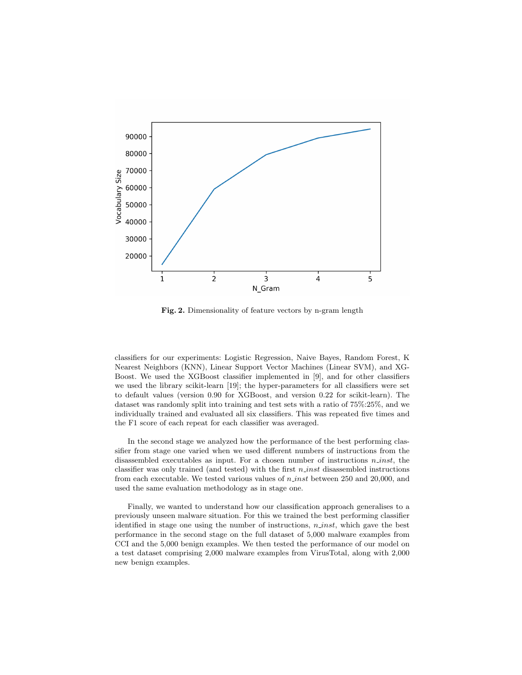

Fig. 2. Dimensionality of feature vectors by n-gram length

classifiers for our experiments: Logistic Regression, Naive Bayes, Random Forest, K Nearest Neighbors (KNN), Linear Support Vector Machines (Linear SVM), and XG-Boost. We used the XGBoost classifier implemented in [9], and for other classifiers we used the library scikit-learn [19]; the hyper-parameters for all classifiers were set to default values (version 0.90 for XGBoost, and version 0.22 for scikit-learn). The dataset was randomly split into training and test sets with a ratio of 75%:25%, and we individually trained and evaluated all six classifiers. This was repeated five times and the F1 score of each repeat for each classifier was averaged.

In the second stage we analyzed how the performance of the best performing classifier from stage one varied when we used different numbers of instructions from the disassembled executables as input. For a chosen number of instructions  $n$ -inst, the classifier was only trained (and tested) with the first  $n$  inst disassembled instructions from each executable. We tested various values of  $n$  *inst* between 250 and 20,000, and used the same evaluation methodology as in stage one.

Finally, we wanted to understand how our classification approach generalises to a previously unseen malware situation. For this we trained the best performing classifier identified in stage one using the number of instructions, n inst, which gave the best performance in the second stage on the full dataset of 5,000 malware examples from CCI and the 5,000 benign examples. We then tested the performance of our model on a test dataset comprising 2,000 malware examples from VirusTotal, along with 2,000 new benign examples.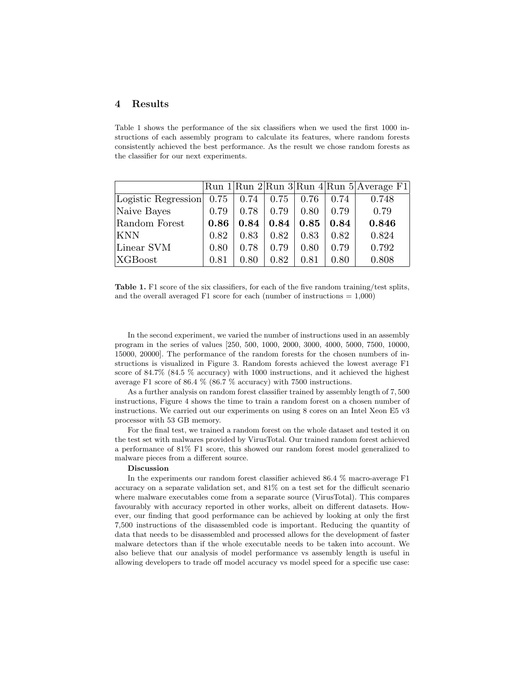## 4 Results

Table 1 shows the performance of the six classifiers when we used the first 1000 instructions of each assembly program to calculate its features, where random forests consistently achieved the best performance. As the result we chose random forests as the classifier for our next experiments.

|                     |                   |      |      |      |      | $\lvert \text{Run 1} \rvert \text{Run 2} \rvert \text{Run 3} \rvert \text{Run 4} \rvert \text{Run 5}$ Average F1 |
|---------------------|-------------------|------|------|------|------|------------------------------------------------------------------------------------------------------------------|
| Logistic Regression | $0.75 \, \, 0.74$ |      | 0.75 | 0.76 | 0.74 | 0.748                                                                                                            |
| Naive Bayes         | 0.79              | 0.78 | 0.79 | 0.80 | 0.79 | 0.79                                                                                                             |
| Random Forest       | 0.86              | 0.84 | 0.84 | 0.85 | 0.84 | 0.846                                                                                                            |
| <b>KNN</b>          | 0.82              | 0.83 | 0.82 | 0.83 | 0.82 | 0.824                                                                                                            |
| Linear SVM          | 0.80              | 0.78 | 0.79 | 0.80 | 0.79 | 0.792                                                                                                            |
| XGBoost             | 0.81              | 0.80 | 0.82 | 0.81 | 0.80 | 0.808                                                                                                            |

Table 1. F1 score of the six classifiers, for each of the five random training/test splits, and the overall averaged F1 score for each (number of instructions  $= 1,000$ )

In the second experiment, we varied the number of instructions used in an assembly program in the series of values [250, 500, 1000, 2000, 3000, 4000, 5000, 7500, 10000, 15000, 20000]. The performance of the random forests for the chosen numbers of instructions is visualized in Figure 3. Random forests achieved the lowest average F1 score of 84.7% (84.5 % accuracy) with 1000 instructions, and it achieved the highest average F1 score of 86.4 % (86.7 % accuracy) with 7500 instructions.

As a further analysis on random forest classifier trained by assembly length of 7, 500 instructions, Figure 4 shows the time to train a random forest on a chosen number of instructions. We carried out our experiments on using 8 cores on an Intel Xeon E5 v3 processor with 53 GB memory.

For the final test, we trained a random forest on the whole dataset and tested it on the test set with malwares provided by VirusTotal. Our trained random forest achieved a performance of 81% F1 score, this showed our random forest model generalized to malware pieces from a different source.

#### Discussion

In the experiments our random forest classifier achieved 86.4 % macro-average F1 accuracy on a separate validation set, and 81% on a test set for the difficult scenario where malware executables come from a separate source (VirusTotal). This compares favourably with accuracy reported in other works, albeit on different datasets. However, our finding that good performance can be achieved by looking at only the first 7,500 instructions of the disassembled code is important. Reducing the quantity of data that needs to be disassembled and processed allows for the development of faster malware detectors than if the whole executable needs to be taken into account. We also believe that our analysis of model performance vs assembly length is useful in allowing developers to trade off model accuracy vs model speed for a specific use case: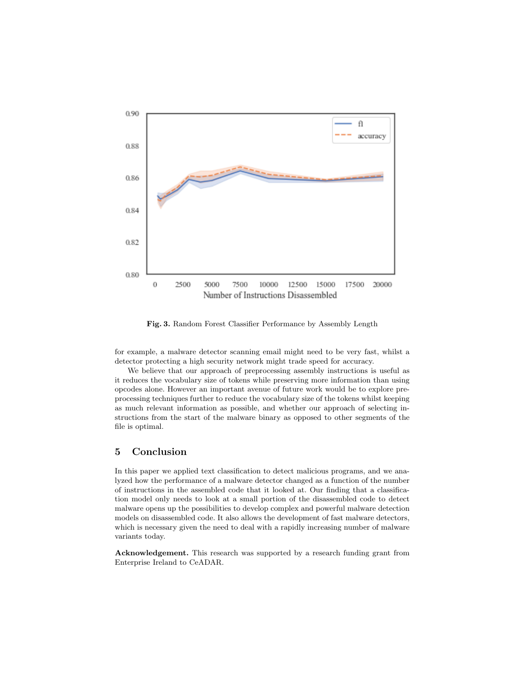

Fig. 3. Random Forest Classifier Performance by Assembly Length

for example, a malware detector scanning email might need to be very fast, whilst a detector protecting a high security network might trade speed for accuracy.

We believe that our approach of preprocessing assembly instructions is useful as it reduces the vocabulary size of tokens while preserving more information than using opcodes alone. However an important avenue of future work would be to explore preprocessing techniques further to reduce the vocabulary size of the tokens whilst keeping as much relevant information as possible, and whether our approach of selecting instructions from the start of the malware binary as opposed to other segments of the file is optimal.

# 5 Conclusion

In this paper we applied text classification to detect malicious programs, and we analyzed how the performance of a malware detector changed as a function of the number of instructions in the assembled code that it looked at. Our finding that a classification model only needs to look at a small portion of the disassembled code to detect malware opens up the possibilities to develop complex and powerful malware detection models on disassembled code. It also allows the development of fast malware detectors, which is necessary given the need to deal with a rapidly increasing number of malware variants today.

Acknowledgement. This research was supported by a research funding grant from Enterprise Ireland to CeADAR.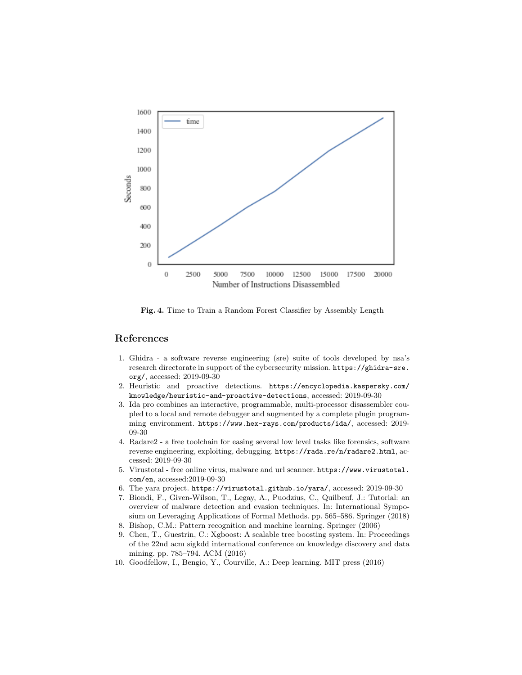

Fig. 4. Time to Train a Random Forest Classifier by Assembly Length

# References

- 1. Ghidra a software reverse engineering (sre) suite of tools developed by nsa's research directorate in support of the cybersecurity mission. https://ghidra-sre. org/, accessed: 2019-09-30
- 2. Heuristic and proactive detections. https://encyclopedia.kaspersky.com/ knowledge/heuristic-and-proactive-detections, accessed: 2019-09-30
- 3. Ida pro combines an interactive, programmable, multi-processor disassembler coupled to a local and remote debugger and augmented by a complete plugin programming environment. https://www.hex-rays.com/products/ida/, accessed: 2019- 09-30
- 4. Radare2 a free toolchain for easing several low level tasks like forensics, software reverse engineering, exploiting, debugging. https://rada.re/n/radare2.html, accessed: 2019-09-30
- 5. Virustotal free online virus, malware and url scanner. https://www.virustotal. com/en, accessed:2019-09-30
- 6. The yara project. https://virustotal.github.io/yara/, accessed: 2019-09-30
- 7. Biondi, F., Given-Wilson, T., Legay, A., Puodzius, C., Quilbeuf, J.: Tutorial: an overview of malware detection and evasion techniques. In: International Symposium on Leveraging Applications of Formal Methods. pp. 565–586. Springer (2018)
- 8. Bishop, C.M.: Pattern recognition and machine learning. Springer (2006)
- 9. Chen, T., Guestrin, C.: Xgboost: A scalable tree boosting system. In: Proceedings of the 22nd acm sigkdd international conference on knowledge discovery and data mining. pp. 785–794. ACM (2016)
- 10. Goodfellow, I., Bengio, Y., Courville, A.: Deep learning. MIT press (2016)